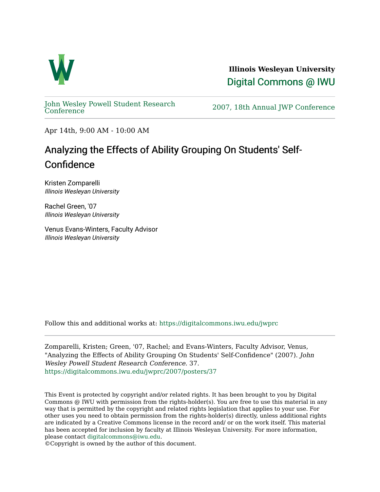

**Illinois Wesleyan University**  [Digital Commons @ IWU](https://digitalcommons.iwu.edu/) 

[John Wesley Powell Student Research](https://digitalcommons.iwu.edu/jwprc) 

2007, 18th Annual JWP [Conference](https://digitalcommons.iwu.edu/jwprc)

Apr 14th, 9:00 AM - 10:00 AM

## Analyzing the Effects of Ability Grouping On Students' Self-Confidence

Kristen Zomparelli Illinois Wesleyan University

Rachel Green, '07 Illinois Wesleyan University

Venus Evans-Winters, Faculty Advisor Illinois Wesleyan University

Follow this and additional works at: [https://digitalcommons.iwu.edu/jwprc](https://digitalcommons.iwu.edu/jwprc?utm_source=digitalcommons.iwu.edu%2Fjwprc%2F2007%2Fposters%2F37&utm_medium=PDF&utm_campaign=PDFCoverPages) 

Zomparelli, Kristen; Green, '07, Rachel; and Evans-Winters, Faculty Advisor, Venus, "Analyzing the Effects of Ability Grouping On Students' Self-Confidence" (2007). John Wesley Powell Student Research Conference. 37. [https://digitalcommons.iwu.edu/jwprc/2007/posters/37](https://digitalcommons.iwu.edu/jwprc/2007/posters/37?utm_source=digitalcommons.iwu.edu%2Fjwprc%2F2007%2Fposters%2F37&utm_medium=PDF&utm_campaign=PDFCoverPages)

This Event is protected by copyright and/or related rights. It has been brought to you by Digital Commons @ IWU with permission from the rights-holder(s). You are free to use this material in any way that is permitted by the copyright and related rights legislation that applies to your use. For other uses you need to obtain permission from the rights-holder(s) directly, unless additional rights are indicated by a Creative Commons license in the record and/ or on the work itself. This material has been accepted for inclusion by faculty at Illinois Wesleyan University. For more information, please contact [digitalcommons@iwu.edu.](mailto:digitalcommons@iwu.edu)

©Copyright is owned by the author of this document.